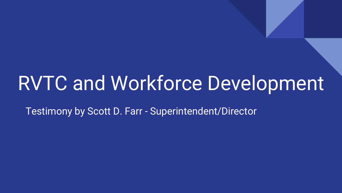# RVTC and Workforce Development

Testimony by Scott D. Farr - Superintendent/Director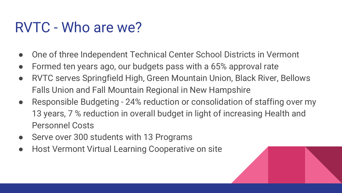#### RVTC - Who are we?

- One of three Independent Technical Center School Districts in Vermont
- Formed ten years ago, our budgets pass with a 65% approval rate
- RVTC serves Springfield High, Green Mountain Union, Black River, Bellows Falls Union and Fall Mountain Regional in New Hampshire
- Responsible Budgeting 24% reduction or consolidation of staffing over my 13 years, 7 % reduction in overall budget in light of increasing Health and Personnel Costs
- Serve over 300 students with 13 Programs
- Host Vermont Virtual Learning Cooperative on site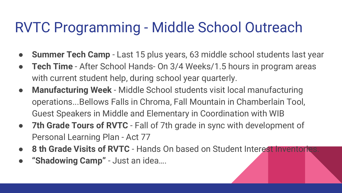#### RVTC Programming - Middle School Outreach

- **Summer Tech Camp** Last 15 plus years, 63 middle school students last year
- **Tech Time** After School Hands On 3/4 Weeks/1.5 hours in program areas with current student help, during school year quarterly.
- **Manufacturing Week**  Middle School students visit local manufacturing operations...Bellows Falls in Chroma, Fall Mountain in Chamberlain Tool, Guest Speakers in Middle and Elementary in Coordination with WIB
- **7th Grade Tours of RVTC**  Fall of 7th grade in sync with development of Personal Learning Plan - Act 77
- 8 th Grade Visits of RVTC Hands On based on Student Interest Inventories.
- **"Shadowing Camp"**  Just an idea….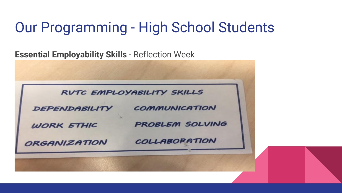#### Our Programming - High School Students

**Essential Employability Skills** - Reflection Week

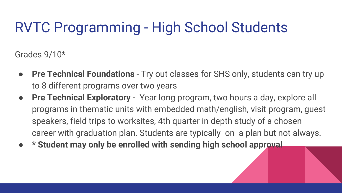## RVTC Programming - High School Students

Grades 9/10\*

- **Pre Technical Foundations** Try out classes for SHS only, students can try up to 8 different programs over two years
- **Pre Technical Exploratory** Year long program, two hours a day, explore all programs in thematic units with embedded math/english, visit program, guest speakers, field trips to worksites, 4th quarter in depth study of a chosen career with graduation plan. Students are typically on a plan but not always.
- **● \* Student may only be enrolled with sending high school approval**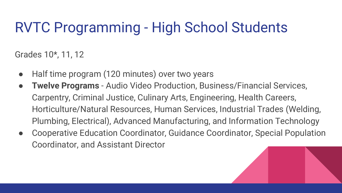## RVTC Programming - High School Students

Grades 10\*, 11, 12

- Half time program (120 minutes) over two years
- **Twelve Programs** Audio Video Production, Business/Financial Services, Carpentry, Criminal Justice, Culinary Arts, Engineering, Health Careers, Horticulture/Natural Resources, Human Services, Industrial Trades (Welding, Plumbing, Electrical), Advanced Manufacturing, and Information Technology
- Cooperative Education Coordinator, Guidance Coordinator, Special Population Coordinator, and Assistant Director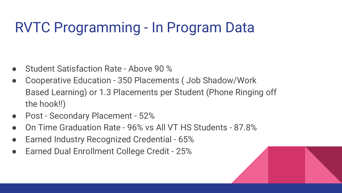### RVTC Programming - In Program Data

- Student Satisfaction Rate Above 90 %
- Cooperative Education 350 Placements ( Job Shadow/Work Based Learning) or 1.3 Placements per Student (Phone Ringing off the hook!!)
- Post Secondary Placement 52%
- On Time Graduation Rate 96% vs All VT HS Students 87.8%
- **Earned Industry Recognized Credential 65%**
- Earned Dual Enrollment College Credit 25%

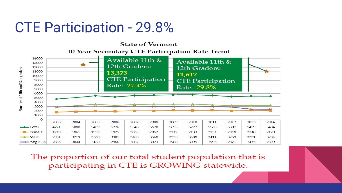#### CTE Participation - 29.8%

**State of Vermont** 10 Year Secondary CTE Participation Rate Trend



The proportion of our total student population that is participating in CTE is GROWING statewide.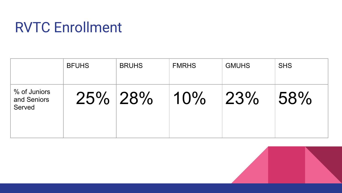### RVTC Enrollment

|                                       | <b>BFUHS</b> | <b>BRUHS</b> | <b>FMRHS</b> | <b>GMUHS</b> | <b>SHS</b> |
|---------------------------------------|--------------|--------------|--------------|--------------|------------|
| % of Juniors<br>and Seniors<br>Served | 25% 28%      |              | 10%          | 23%          | 58%        |

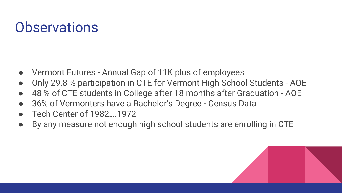#### **Observations**

- Vermont Futures Annual Gap of 11K plus of employees
- Only 29.8 % participation in CTE for Vermont High School Students AOE
- 48 % of CTE students in College after 18 months after Graduation AOE
- 36% of Vermonters have a Bachelor's Degree Census Data
- Tech Center of 1982….1972
- By any measure not enough high school students are enrolling in CTE

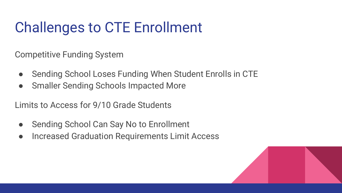# Challenges to CTE Enrollment

Competitive Funding System

- Sending School Loses Funding When Student Enrolls in CTE
- Smaller Sending Schools Impacted More

Limits to Access for 9/10 Grade Students

- Sending School Can Say No to Enrollment
- Increased Graduation Requirements Limit Access

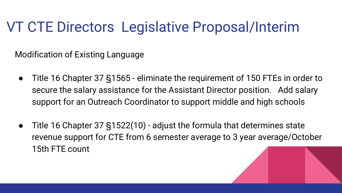#### VT CTE Directors Legislative Proposal/Interim

Modification of Existing Language

- Title 16 Chapter 37 §1565 eliminate the requirement of 150 FTEs in order to secure the salary assistance for the Assistant Director position. Add salary support for an Outreach Coordinator to support middle and high schools
- Title 16 Chapter 37 §1522(10) adjust the formula that determines state revenue support for CTE from 6 semester average to 3 year average/October 15th FTE count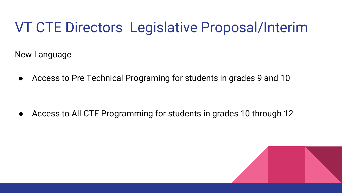#### VT CTE Directors Legislative Proposal/Interim

New Language

● Access to Pre Technical Programing for students in grades 9 and 10

● Access to All CTE Programming for students in grades 10 through 12

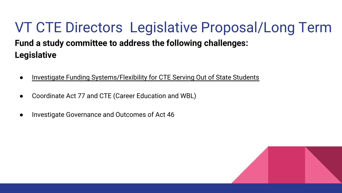#### VT CTE Directors Legislative Proposal/Long Term **Fund a study committee to address the following challenges:**

#### **Legislative**

- Investigate Funding Systems/Flexibility for CTE Serving Out of State Students
- Coordinate Act 77 and CTE (Career Education and WBL)
- Investigate Governance and Outcomes of Act 46

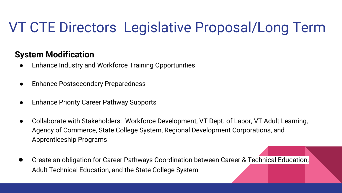# VT CTE Directors Legislative Proposal/Long Term

#### **System Modification**

- **Enhance Industry and Workforce Training Opportunities**
- Enhance Postsecondary Preparedness
- **Enhance Priority Career Pathway Supports**
- Collaborate with Stakeholders: Workforce Development, VT Dept. of Labor, VT Adult Learning, Agency of Commerce, State College System, Regional Development Corporations, and Apprenticeship Programs
- Create an obligation for Career Pathways Coordination between Career & Technical Education, Adult Technical Education, and the State College System